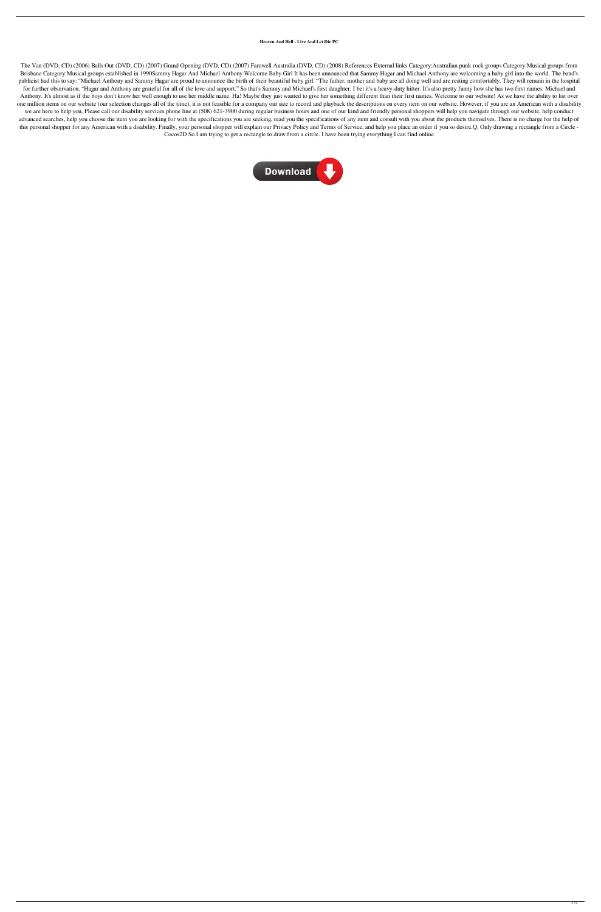## **Heaven And Hell - Live And Let Die PC**

The Van (DVD, CD) (2006) Balls Out (DVD, CD) (2007) Grand Opening (DVD, CD) (2007) Farewell Australia (DVD, CD) (2008) References External links Category:Australian punk rock groups Category:Musical groups from Brisbane Category:Musical groups established in 1990Sammy Hagar And Michael Anthony Welcome Baby Girl It has been announced that Sammy Hagar and Michael Anthony are welcoming a baby girl into the world. The band's publicist had this to say: "Michael Anthony and Sammy Hagar are proud to announce the birth of their beautiful baby girl. "The father, mother and baby are all doing well and are resting comfortably. They will remain in the for further observation. "Hagar and Anthony are grateful for all of the love and support." So that's Sammy and Michael's first daughter. I bet it's a heavy-duty hitter. It's also pretty funny how she has two first names: M Anthony. It's almost as if the boys don't know her well enough to use her middle name. Ha! Maybe they just wanted to give her something different than their first names. Welcome to our website! As we have the ability to li one million items on our website (our selection changes all of the time), it is not feasible for a company our size to record and playback the descriptions on every item on our website. However, if you are an American with we are here to help you. Please call our disability services phone line at (508) 621-3900 during regular business hours and one of our kind and friendly personal shoppers will help you navigate through our website, help co advanced searches, help you choose the item you are looking for with the specifications you are seeking, read you the specifications of any item and consult with you about the products themselves. There is no charge for th this personal shopper for any American with a disability. Finally, your personal shopper will explain our Privacy Policy and Terms of Service, and help you place an order if you so desire. Q: Only drawing a rectangle from Cocos2D So I am trying to get a rectangle to draw from a circle. I have been trying everything I can find online